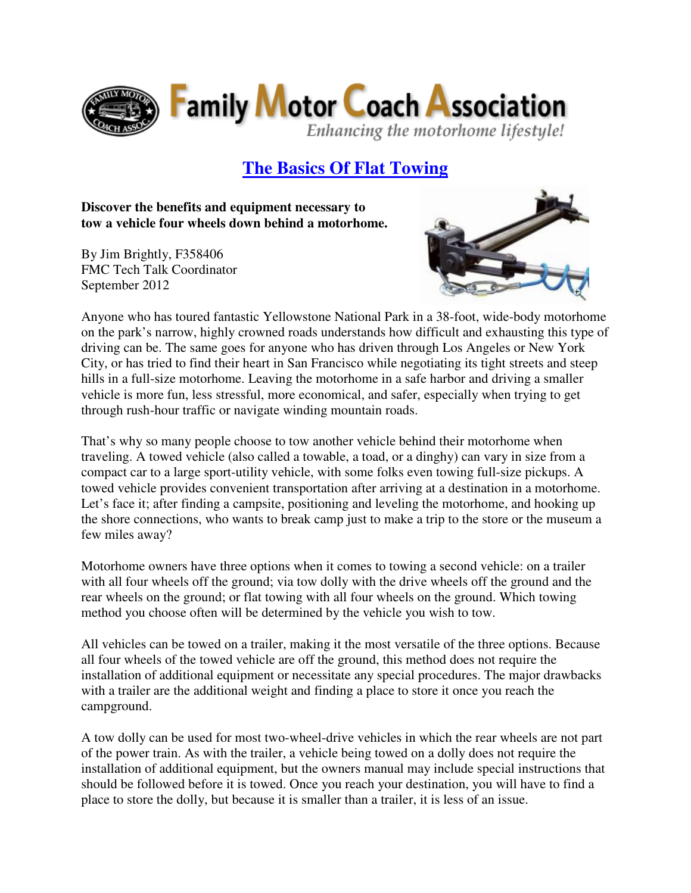

# **The Basics Of Flat Towing**

**Discover the benefits and equipment necessary to tow a vehicle four wheels down behind a motorhome.** 

By Jim Brightly, F358406 FMC Tech Talk Coordinator September 2012



Anyone who has toured fantastic Yellowstone National Park in a 38-foot, wide-body motorhome on the park's narrow, highly crowned roads understands how difficult and exhausting this type of driving can be. The same goes for anyone who has driven through Los Angeles or New York City, or has tried to find their heart in San Francisco while negotiating its tight streets and steep hills in a full-size motorhome. Leaving the motorhome in a safe harbor and driving a smaller vehicle is more fun, less stressful, more economical, and safer, especially when trying to get through rush-hour traffic or navigate winding mountain roads.

That's why so many people choose to tow another vehicle behind their motorhome when traveling. A towed vehicle (also called a towable, a toad, or a dinghy) can vary in size from a compact car to a large sport-utility vehicle, with some folks even towing full-size pickups. A towed vehicle provides convenient transportation after arriving at a destination in a motorhome. Let's face it; after finding a campsite, positioning and leveling the motorhome, and hooking up the shore connections, who wants to break camp just to make a trip to the store or the museum a few miles away?

Motorhome owners have three options when it comes to towing a second vehicle: on a trailer with all four wheels off the ground; via tow dolly with the drive wheels off the ground and the rear wheels on the ground; or flat towing with all four wheels on the ground. Which towing method you choose often will be determined by the vehicle you wish to tow.

All vehicles can be towed on a trailer, making it the most versatile of the three options. Because all four wheels of the towed vehicle are off the ground, this method does not require the installation of additional equipment or necessitate any special procedures. The major drawbacks with a trailer are the additional weight and finding a place to store it once you reach the campground.

A tow dolly can be used for most two-wheel-drive vehicles in which the rear wheels are not part of the power train. As with the trailer, a vehicle being towed on a dolly does not require the installation of additional equipment, but the owners manual may include special instructions that should be followed before it is towed. Once you reach your destination, you will have to find a place to store the dolly, but because it is smaller than a trailer, it is less of an issue.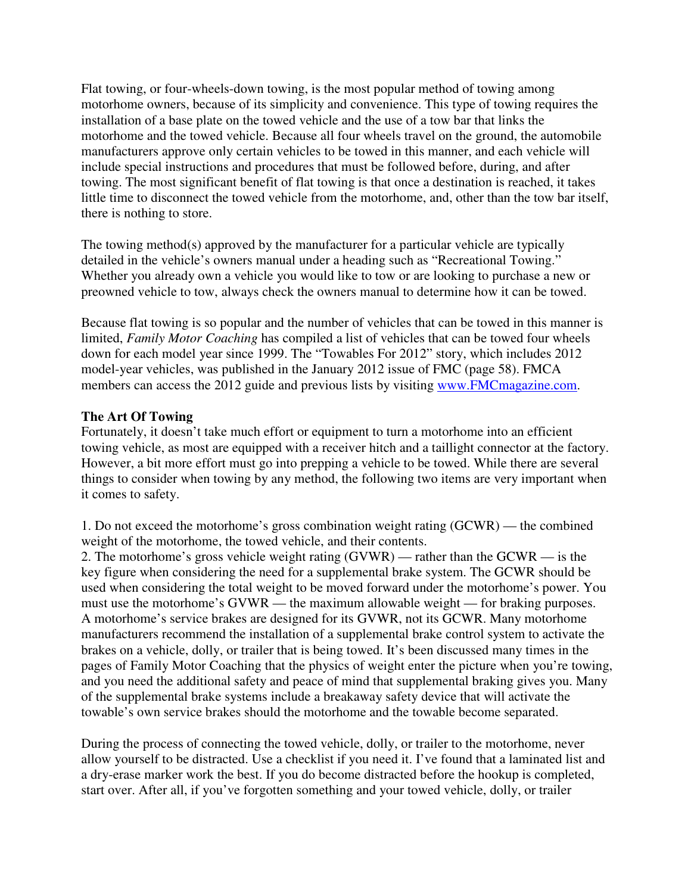Flat towing, or four-wheels-down towing, is the most popular method of towing among motorhome owners, because of its simplicity and convenience. This type of towing requires the installation of a base plate on the towed vehicle and the use of a tow bar that links the motorhome and the towed vehicle. Because all four wheels travel on the ground, the automobile manufacturers approve only certain vehicles to be towed in this manner, and each vehicle will include special instructions and procedures that must be followed before, during, and after towing. The most significant benefit of flat towing is that once a destination is reached, it takes little time to disconnect the towed vehicle from the motorhome, and, other than the tow bar itself, there is nothing to store.

The towing method(s) approved by the manufacturer for a particular vehicle are typically detailed in the vehicle's owners manual under a heading such as "Recreational Towing." Whether you already own a vehicle you would like to tow or are looking to purchase a new or preowned vehicle to tow, always check the owners manual to determine how it can be towed.

Because flat towing is so popular and the number of vehicles that can be towed in this manner is limited, *Family Motor Coaching* has compiled a list of vehicles that can be towed four wheels down for each model year since 1999. The "Towables For 2012" story, which includes 2012 model-year vehicles, was published in the January 2012 issue of FMC (page 58). FMCA members can access the 2012 guide and previous lists by visiting www.FMCmagazine.com.

## **The Art Of Towing**

Fortunately, it doesn't take much effort or equipment to turn a motorhome into an efficient towing vehicle, as most are equipped with a receiver hitch and a taillight connector at the factory. However, a bit more effort must go into prepping a vehicle to be towed. While there are several things to consider when towing by any method, the following two items are very important when it comes to safety.

1. Do not exceed the motorhome's gross combination weight rating (GCWR) — the combined weight of the motorhome, the towed vehicle, and their contents.

2. The motorhome's gross vehicle weight rating (GVWR) — rather than the GCWR — is the key figure when considering the need for a supplemental brake system. The GCWR should be used when considering the total weight to be moved forward under the motorhome's power. You must use the motorhome's GVWR — the maximum allowable weight — for braking purposes. A motorhome's service brakes are designed for its GVWR, not its GCWR. Many motorhome manufacturers recommend the installation of a supplemental brake control system to activate the brakes on a vehicle, dolly, or trailer that is being towed. It's been discussed many times in the pages of Family Motor Coaching that the physics of weight enter the picture when you're towing, and you need the additional safety and peace of mind that supplemental braking gives you. Many of the supplemental brake systems include a breakaway safety device that will activate the towable's own service brakes should the motorhome and the towable become separated.

During the process of connecting the towed vehicle, dolly, or trailer to the motorhome, never allow yourself to be distracted. Use a checklist if you need it. I've found that a laminated list and a dry-erase marker work the best. If you do become distracted before the hookup is completed, start over. After all, if you've forgotten something and your towed vehicle, dolly, or trailer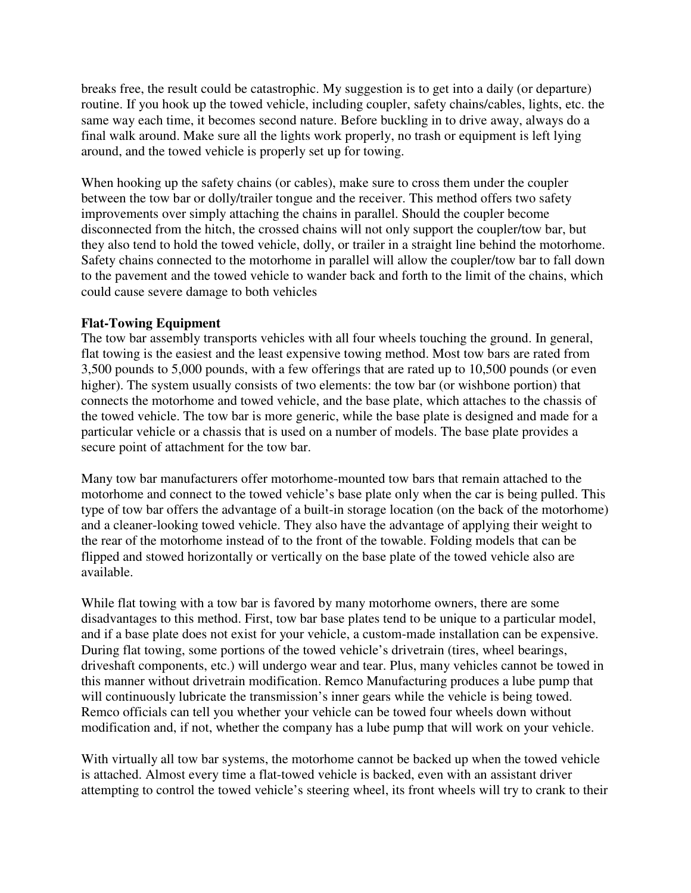breaks free, the result could be catastrophic. My suggestion is to get into a daily (or departure) routine. If you hook up the towed vehicle, including coupler, safety chains/cables, lights, etc. the same way each time, it becomes second nature. Before buckling in to drive away, always do a final walk around. Make sure all the lights work properly, no trash or equipment is left lying around, and the towed vehicle is properly set up for towing.

When hooking up the safety chains (or cables), make sure to cross them under the coupler between the tow bar or dolly/trailer tongue and the receiver. This method offers two safety improvements over simply attaching the chains in parallel. Should the coupler become disconnected from the hitch, the crossed chains will not only support the coupler/tow bar, but they also tend to hold the towed vehicle, dolly, or trailer in a straight line behind the motorhome. Safety chains connected to the motorhome in parallel will allow the coupler/tow bar to fall down to the pavement and the towed vehicle to wander back and forth to the limit of the chains, which could cause severe damage to both vehicles

## **Flat-Towing Equipment**

The tow bar assembly transports vehicles with all four wheels touching the ground. In general, flat towing is the easiest and the least expensive towing method. Most tow bars are rated from 3,500 pounds to 5,000 pounds, with a few offerings that are rated up to 10,500 pounds (or even higher). The system usually consists of two elements: the tow bar (or wishbone portion) that connects the motorhome and towed vehicle, and the base plate, which attaches to the chassis of the towed vehicle. The tow bar is more generic, while the base plate is designed and made for a particular vehicle or a chassis that is used on a number of models. The base plate provides a secure point of attachment for the tow bar.

Many tow bar manufacturers offer motorhome-mounted tow bars that remain attached to the motorhome and connect to the towed vehicle's base plate only when the car is being pulled. This type of tow bar offers the advantage of a built-in storage location (on the back of the motorhome) and a cleaner-looking towed vehicle. They also have the advantage of applying their weight to the rear of the motorhome instead of to the front of the towable. Folding models that can be flipped and stowed horizontally or vertically on the base plate of the towed vehicle also are available.

While flat towing with a tow bar is favored by many motorhome owners, there are some disadvantages to this method. First, tow bar base plates tend to be unique to a particular model, and if a base plate does not exist for your vehicle, a custom-made installation can be expensive. During flat towing, some portions of the towed vehicle's drivetrain (tires, wheel bearings, driveshaft components, etc.) will undergo wear and tear. Plus, many vehicles cannot be towed in this manner without drivetrain modification. Remco Manufacturing produces a lube pump that will continuously lubricate the transmission's inner gears while the vehicle is being towed. Remco officials can tell you whether your vehicle can be towed four wheels down without modification and, if not, whether the company has a lube pump that will work on your vehicle.

With virtually all tow bar systems, the motorhome cannot be backed up when the towed vehicle is attached. Almost every time a flat-towed vehicle is backed, even with an assistant driver attempting to control the towed vehicle's steering wheel, its front wheels will try to crank to their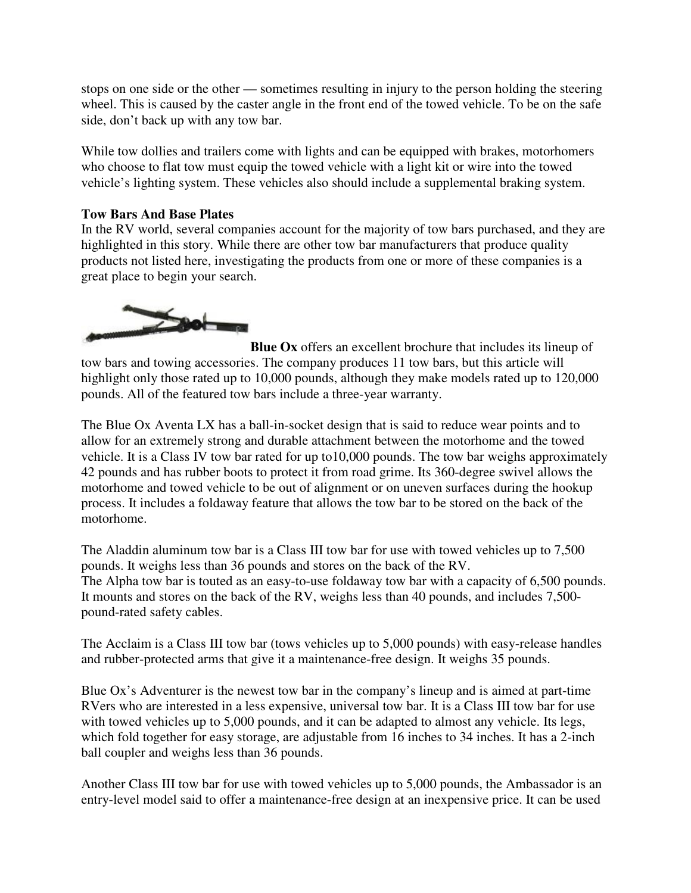stops on one side or the other — sometimes resulting in injury to the person holding the steering wheel. This is caused by the caster angle in the front end of the towed vehicle. To be on the safe side, don't back up with any tow bar.

While tow dollies and trailers come with lights and can be equipped with brakes, motorhomers who choose to flat tow must equip the towed vehicle with a light kit or wire into the towed vehicle's lighting system. These vehicles also should include a supplemental braking system.

# **Tow Bars And Base Plates**

In the RV world, several companies account for the majority of tow bars purchased, and they are highlighted in this story. While there are other tow bar manufacturers that produce quality products not listed here, investigating the products from one or more of these companies is a great place to begin your search.



**Blue Ox** offers an excellent brochure that includes its lineup of tow bars and towing accessories. The company produces 11 tow bars, but this article will highlight only those rated up to 10,000 pounds, although they make models rated up to 120,000 pounds. All of the featured tow bars include a three-year warranty.

The Blue Ox Aventa LX has a ball-in-socket design that is said to reduce wear points and to allow for an extremely strong and durable attachment between the motorhome and the towed vehicle. It is a Class IV tow bar rated for up to10,000 pounds. The tow bar weighs approximately 42 pounds and has rubber boots to protect it from road grime. Its 360-degree swivel allows the motorhome and towed vehicle to be out of alignment or on uneven surfaces during the hookup process. It includes a foldaway feature that allows the tow bar to be stored on the back of the motorhome.

The Aladdin aluminum tow bar is a Class III tow bar for use with towed vehicles up to 7,500 pounds. It weighs less than 36 pounds and stores on the back of the RV. The Alpha tow bar is touted as an easy-to-use foldaway tow bar with a capacity of 6,500 pounds. It mounts and stores on the back of the RV, weighs less than 40 pounds, and includes 7,500 pound-rated safety cables.

The Acclaim is a Class III tow bar (tows vehicles up to 5,000 pounds) with easy-release handles and rubber-protected arms that give it a maintenance-free design. It weighs 35 pounds.

Blue Ox's Adventurer is the newest tow bar in the company's lineup and is aimed at part-time RVers who are interested in a less expensive, universal tow bar. It is a Class III tow bar for use with towed vehicles up to 5,000 pounds, and it can be adapted to almost any vehicle. Its legs, which fold together for easy storage, are adjustable from 16 inches to 34 inches. It has a 2-inch ball coupler and weighs less than 36 pounds.

Another Class III tow bar for use with towed vehicles up to 5,000 pounds, the Ambassador is an entry-level model said to offer a maintenance-free design at an inexpensive price. It can be used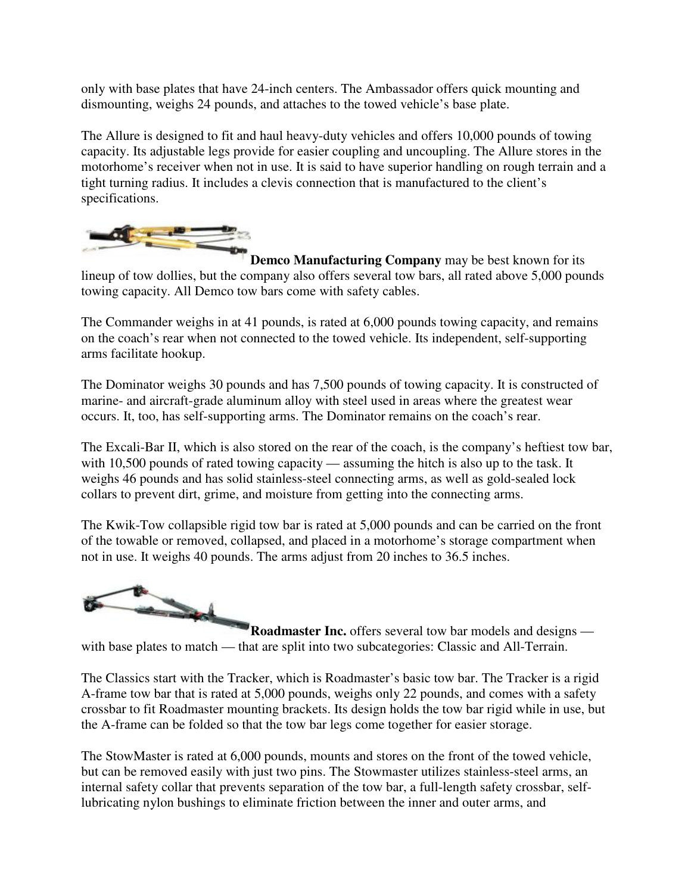only with base plates that have 24-inch centers. The Ambassador offers quick mounting and dismounting, weighs 24 pounds, and attaches to the towed vehicle's base plate.

The Allure is designed to fit and haul heavy-duty vehicles and offers 10,000 pounds of towing capacity. Its adjustable legs provide for easier coupling and uncoupling. The Allure stores in the motorhome's receiver when not in use. It is said to have superior handling on rough terrain and a tight turning radius. It includes a clevis connection that is manufactured to the client's specifications.



**Demco Manufacturing Company** may be best known for its lineup of tow dollies, but the company also offers several tow bars, all rated above 5,000 pounds towing capacity. All Demco tow bars come with safety cables.

The Commander weighs in at 41 pounds, is rated at 6,000 pounds towing capacity, and remains on the coach's rear when not connected to the towed vehicle. Its independent, self-supporting arms facilitate hookup.

The Dominator weighs 30 pounds and has 7,500 pounds of towing capacity. It is constructed of marine- and aircraft-grade aluminum alloy with steel used in areas where the greatest wear occurs. It, too, has self-supporting arms. The Dominator remains on the coach's rear.

The Excali-Bar II, which is also stored on the rear of the coach, is the company's heftiest tow bar, with 10,500 pounds of rated towing capacity — assuming the hitch is also up to the task. It weighs 46 pounds and has solid stainless-steel connecting arms, as well as gold-sealed lock collars to prevent dirt, grime, and moisture from getting into the connecting arms.

The Kwik-Tow collapsible rigid tow bar is rated at 5,000 pounds and can be carried on the front of the towable or removed, collapsed, and placed in a motorhome's storage compartment when not in use. It weighs 40 pounds. The arms adjust from 20 inches to 36.5 inches.



**Roadmaster Inc.** offers several tow bar models and designs with base plates to match — that are split into two subcategories: Classic and All-Terrain.

The Classics start with the Tracker, which is Roadmaster's basic tow bar. The Tracker is a rigid A-frame tow bar that is rated at 5,000 pounds, weighs only 22 pounds, and comes with a safety crossbar to fit Roadmaster mounting brackets. Its design holds the tow bar rigid while in use, but the A-frame can be folded so that the tow bar legs come together for easier storage.

The StowMaster is rated at 6,000 pounds, mounts and stores on the front of the towed vehicle, but can be removed easily with just two pins. The Stowmaster utilizes stainless-steel arms, an internal safety collar that prevents separation of the tow bar, a full-length safety crossbar, selflubricating nylon bushings to eliminate friction between the inner and outer arms, and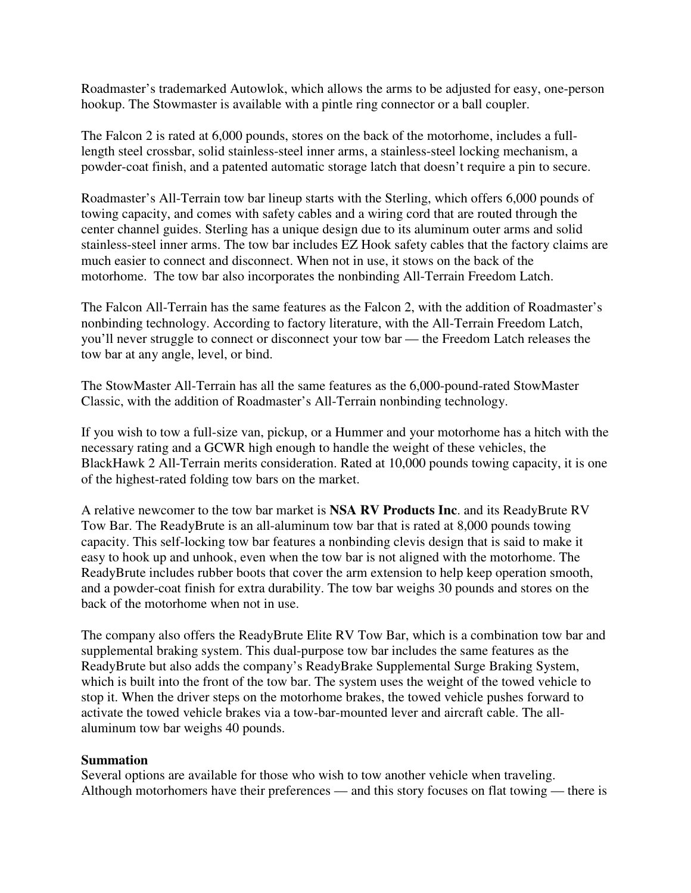Roadmaster's trademarked Autowlok, which allows the arms to be adjusted for easy, one-person hookup. The Stowmaster is available with a pintle ring connector or a ball coupler.

The Falcon 2 is rated at 6,000 pounds, stores on the back of the motorhome, includes a fulllength steel crossbar, solid stainless-steel inner arms, a stainless-steel locking mechanism, a powder-coat finish, and a patented automatic storage latch that doesn't require a pin to secure.

Roadmaster's All-Terrain tow bar lineup starts with the Sterling, which offers 6,000 pounds of towing capacity, and comes with safety cables and a wiring cord that are routed through the center channel guides. Sterling has a unique design due to its aluminum outer arms and solid stainless-steel inner arms. The tow bar includes EZ Hook safety cables that the factory claims are much easier to connect and disconnect. When not in use, it stows on the back of the motorhome. The tow bar also incorporates the nonbinding All-Terrain Freedom Latch.

The Falcon All-Terrain has the same features as the Falcon 2, with the addition of Roadmaster's nonbinding technology. According to factory literature, with the All-Terrain Freedom Latch, you'll never struggle to connect or disconnect your tow bar — the Freedom Latch releases the tow bar at any angle, level, or bind.

The StowMaster All-Terrain has all the same features as the 6,000-pound-rated StowMaster Classic, with the addition of Roadmaster's All-Terrain nonbinding technology.

If you wish to tow a full-size van, pickup, or a Hummer and your motorhome has a hitch with the necessary rating and a GCWR high enough to handle the weight of these vehicles, the BlackHawk 2 All-Terrain merits consideration. Rated at 10,000 pounds towing capacity, it is one of the highest-rated folding tow bars on the market.

A relative newcomer to the tow bar market is **NSA RV Products Inc**. and its ReadyBrute RV Tow Bar. The ReadyBrute is an all-aluminum tow bar that is rated at 8,000 pounds towing capacity. This self-locking tow bar features a nonbinding clevis design that is said to make it easy to hook up and unhook, even when the tow bar is not aligned with the motorhome. The ReadyBrute includes rubber boots that cover the arm extension to help keep operation smooth, and a powder-coat finish for extra durability. The tow bar weighs 30 pounds and stores on the back of the motorhome when not in use.

The company also offers the ReadyBrute Elite RV Tow Bar, which is a combination tow bar and supplemental braking system. This dual-purpose tow bar includes the same features as the ReadyBrute but also adds the company's ReadyBrake Supplemental Surge Braking System, which is built into the front of the tow bar. The system uses the weight of the towed vehicle to stop it. When the driver steps on the motorhome brakes, the towed vehicle pushes forward to activate the towed vehicle brakes via a tow-bar-mounted lever and aircraft cable. The allaluminum tow bar weighs 40 pounds.

## **Summation**

Several options are available for those who wish to tow another vehicle when traveling. Although motorhomers have their preferences — and this story focuses on flat towing — there is